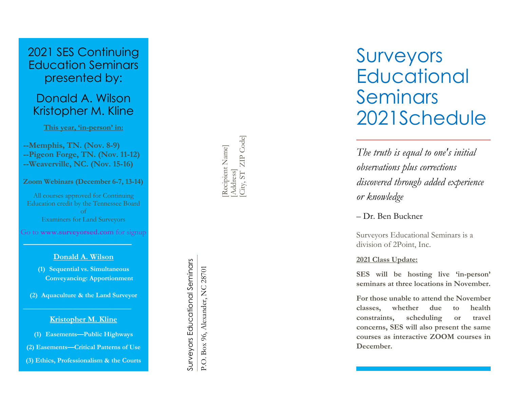# 2021 SES Continuing Education Seminars presented by:

# Donald A. Wilson Kristopher M. Kline

**This year, 'in -person' in:**

**--Memphis, TN. (Nov. 8 -9) --Pigeon Forge, TN. (Nov. 11 -12) --Weaverville, NC. (Nov. 15 -16)**

**Zoom Webinars (December 6 -7, 13 -14)**

All courses approved for Continuing Education credit by the Tennessee Board of Examiners for Land Surveyors

Go to **www.surveyorsed.com** for signup

## **Donald A. Wilson**

**(1) Sequential vs. Simultaneous Conveyancing: Apportionment**

**(2) Aquaculture & the Land Surveyor**

### **Kristopher M. Kline**

- **(1) Easements —Public Highways**
- **(2) Easements —Critical Patterns of Use**

**(3) Ethics, Professionalism & the Courts**

[Address]<br>[City, ST] ZIP Code] [City, ST ZIP Code] Recipient Name] [Recipient Name]

Surveyors Educational Seminars Surveyors Educational Seminars P.O. Box 96, Alexander, NC 28701 P.O. Box 96, Alexander, NC 28701 Surveyors **Educational** Seminars 2021Schedule

*The truth is equal to one's initial observations plus corrections discovered through added experience or knowledge*

– Dr. Ben Buckner

Surveyors Educational Seminars is a division of 2Point, Inc.

## **2021 Class Update:**

**SES will be hosting live 'in -person' seminars at three locations in November .**

**For those unable to attend the November classes, whether due to health constraints, scheduling or travel concerns, SES will also present the same courses as interactive ZOOM courses in December .**